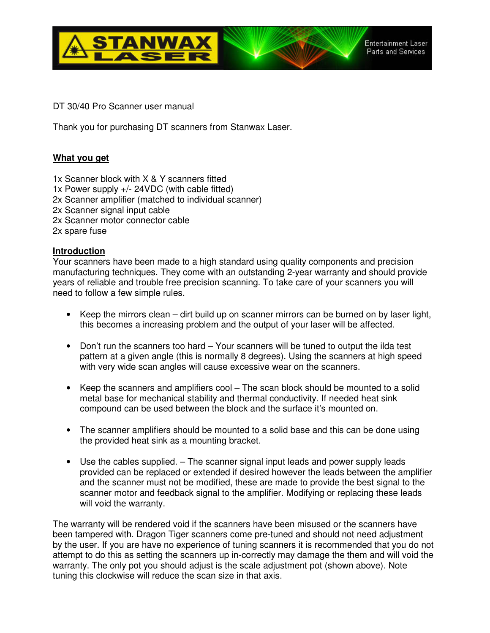

DT 30/40 Pro Scanner user manual

Thank you for purchasing DT scanners from Stanwax Laser.

# **What you get**

- 1x Scanner block with X & Y scanners fitted
- 1x Power supply +/- 24VDC (with cable fitted)
- 2x Scanner amplifier (matched to individual scanner)
- 2x Scanner signal input cable
- 2x Scanner motor connector cable

2x spare fuse

### **Introduction**

Your scanners have been made to a high standard using quality components and precision manufacturing techniques. They come with an outstanding 2-year warranty and should provide years of reliable and trouble free precision scanning. To take care of your scanners you will need to follow a few simple rules.

- Keep the mirrors clean dirt build up on scanner mirrors can be burned on by laser light, this becomes a increasing problem and the output of your laser will be affected.
- Don't run the scanners too hard Your scanners will be tuned to output the ilda test pattern at a given angle (this is normally 8 degrees). Using the scanners at high speed with very wide scan angles will cause excessive wear on the scanners.
- Keep the scanners and amplifiers cool The scan block should be mounted to a solid metal base for mechanical stability and thermal conductivity. If needed heat sink compound can be used between the block and the surface it's mounted on.
- The scanner amplifiers should be mounted to a solid base and this can be done using the provided heat sink as a mounting bracket.
- Use the cables supplied. The scanner signal input leads and power supply leads provided can be replaced or extended if desired however the leads between the amplifier and the scanner must not be modified, these are made to provide the best signal to the scanner motor and feedback signal to the amplifier. Modifying or replacing these leads will void the warranty.

The warranty will be rendered void if the scanners have been misused or the scanners have been tampered with. Dragon Tiger scanners come pre-tuned and should not need adjustment by the user. If you are have no experience of tuning scanners it is recommended that you do not attempt to do this as setting the scanners up in-correctly may damage the them and will void the warranty. The only pot you should adjust is the scale adjustment pot (shown above). Note tuning this clockwise will reduce the scan size in that axis.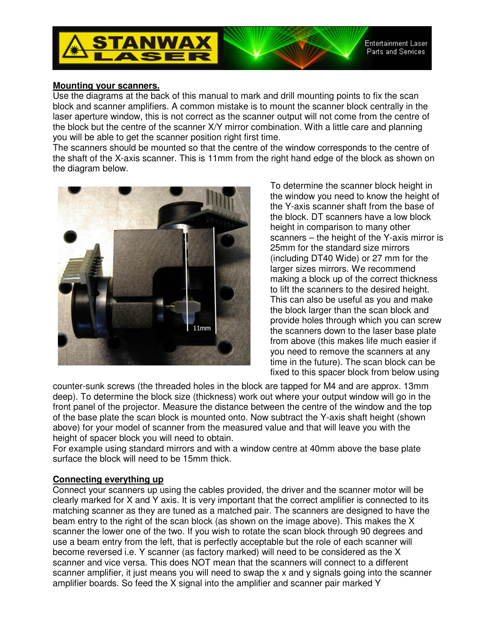



#### **Mounting your scanners.**

Use the diagrams at the back of this manual to mark and drill mounting points to fix the scan block and scanner amplifiers. A common mistake is to mount the scanner block centrally in the laser aperture window, this is not correct as the scanner output will not come from the centre of the block but the centre of the scanner X/Y mirror combination. With a little care and planning you will be able to get the scanner position right first time.

The scanners should be mounted so that the centre of the window corresponds to the centre of the shaft of the X-axis scanner. This is 11mm from the right hand edge of the block as shown on the diagram below.



To determine the scanner block height in the window you need to know the height of the Y-axis scanner shaft from the base of the block. DT scanners have a low block height in comparison to many other scanners – the height of the Y-axis mirror is 25mm for the standard size mirrors (including DT40 Wide) or 27 mm for the larger sizes mirrors. We recommend making a block up of the correct thickness to lift the scanners to the desired height. This can also be useful as you and make the block larger than the scan block and provide holes through which you can screw the scanners down to the laser base plate from above (this makes life much easier if you need to remove the scanners at any time in the future). The scan block can be fixed to this spacer block from below using

counter-sunk screws (the threaded holes in the block are tapped for M4 and are approx. 13mm deep). To determine the block size (thickness) work out where your output window will go in the front panel of the projector. Measure the distance between the centre of the window and the top of the base plate the scan block is mounted onto. Now subtract the Y-axis shaft height (shown above) for your model of scanner from the measured value and that will leave you with the height of spacer block you will need to obtain.

For example using standard mirrors and with a window centre at 40mm above the base plate surface the block will need to be 15mm thick.

### **Connecting everything up**

Connect your scanners up using the cables provided, the driver and the scanner motor will be clearly marked for X and Y axis. It is very important that the correct amplifier is connected to its matching scanner as they are tuned as a matched pair. The scanners are designed to have the beam entry to the right of the scan block (as shown on the image above). This makes the X scanner the lower one of the two. If you wish to rotate the scan block through 90 degrees and use a beam entry from the left, that is perfectly acceptable but the role of each scanner will become reversed i.e. Y scanner (as factory marked) will need to be considered as the X scanner and vice versa. This does NOT mean that the scanners will connect to a different scanner amplifier, it just means you will need to swap the x and y signals going into the scanner amplifier boards. So feed the X signal into the amplifier and scanner pair marked Y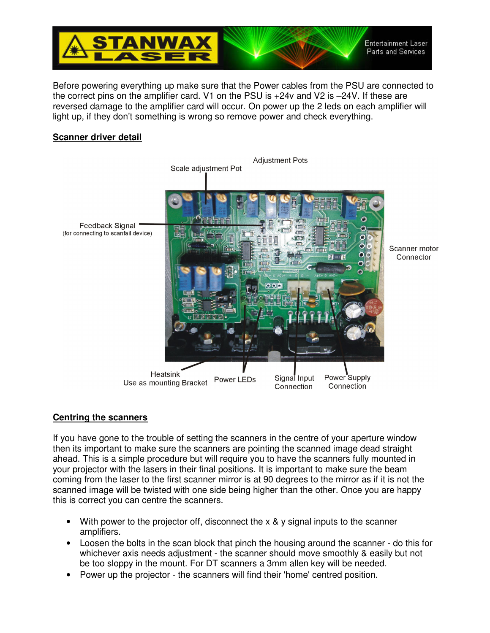

Before powering everything up make sure that the Power cables from the PSU are connected to the correct pins on the amplifier card. V1 on the PSU is +24v and V2 is –24V. If these are reversed damage to the amplifier card will occur. On power up the 2 leds on each amplifier will light up, if they don't something is wrong so remove power and check everything.

# **Scanner driver detail**



### **Centring the scanners**

If you have gone to the trouble of setting the scanners in the centre of your aperture window then its important to make sure the scanners are pointing the scanned image dead straight ahead. This is a simple procedure but will require you to have the scanners fully mounted in your projector with the lasers in their final positions. It is important to make sure the beam coming from the laser to the first scanner mirror is at 90 degrees to the mirror as if it is not the scanned image will be twisted with one side being higher than the other. Once you are happy this is correct you can centre the scanners.

- With power to the projector off, disconnect the x & y signal inputs to the scanner amplifiers.
- Loosen the bolts in the scan block that pinch the housing around the scanner do this for whichever axis needs adjustment - the scanner should move smoothly & easily but not be too sloppy in the mount. For DT scanners a 3mm allen key will be needed.
- Power up the projector the scanners will find their 'home' centred position.